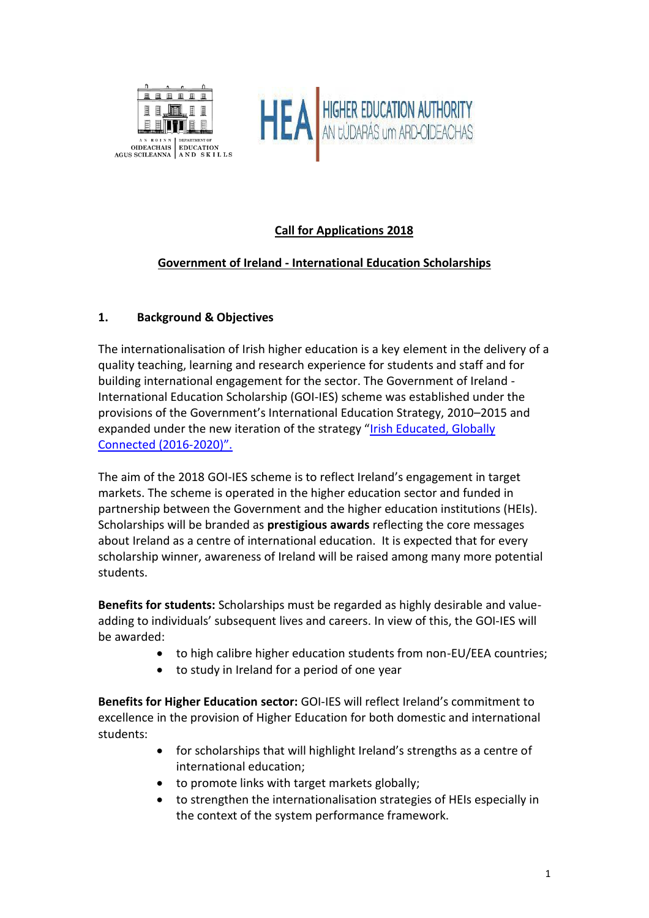



# **Call for Applications 2018**

## **Government of Ireland - International Education Scholarships**

### **1. Background & Objectives**

The internationalisation of Irish higher education is a key element in the delivery of a quality teaching, learning and research experience for students and staff and for building international engagement for the sector. The Government of Ireland - International Education Scholarship (GOI-IES) scheme was established under the provisions of the Government's International Education Strategy, 2010–2015 and expanded under the new iteration of the strategy "[Irish Educated, Globally](http://www.education.ie/en/Publications/Policy-Reports/International-Education-Strategy-For-Ireland-2016-2020.pdf)  [Connected \(2016-](http://www.education.ie/en/Publications/Policy-Reports/International-Education-Strategy-For-Ireland-2016-2020.pdf)2020)".

The aim of the 2018 GOI-IES scheme is to reflect Ireland's engagement in target markets. The scheme is operated in the higher education sector and funded in partnership between the Government and the higher education institutions (HEIs). Scholarships will be branded as **prestigious awards** reflecting the core messages about Ireland as a centre of international education. It is expected that for every scholarship winner, awareness of Ireland will be raised among many more potential students.

**Benefits for students:** Scholarships must be regarded as highly desirable and valueadding to individuals' subsequent lives and careers. In view of this, the GOI-IES will be awarded:

- to high calibre higher education students from non-EU/EEA countries;
- to study in Ireland for a period of one year

**Benefits for Higher Education sector:** GOI-IES will reflect Ireland's commitment to excellence in the provision of Higher Education for both domestic and international students:

- for scholarships that will highlight Ireland's strengths as a centre of international education;
- to promote links with target markets globally;
- to strengthen the internationalisation strategies of HEIs especially in the context of the system performance framework.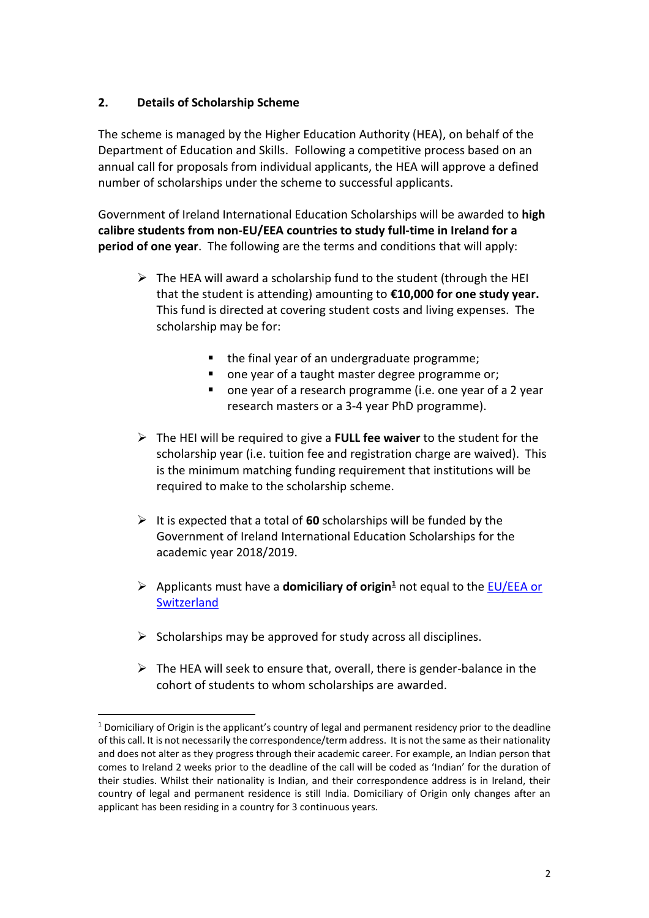### **2. Details of Scholarship Scheme**

 $\overline{a}$ 

The scheme is managed by the Higher Education Authority (HEA), on behalf of the Department of Education and Skills. Following a competitive process based on an annual call for proposals from individual applicants, the HEA will approve a defined number of scholarships under the scheme to successful applicants.

Government of Ireland International Education Scholarships will be awarded to **high calibre students from non-EU/EEA countries to study full-time in Ireland for a period of one year**. The following are the terms and conditions that will apply:

- $\triangleright$  The HEA will award a scholarship fund to the student (through the HEI that the student is attending) amounting to **€10,000 for one study year.**  This fund is directed at covering student costs and living expenses. The scholarship may be for:
	- the final year of an undergraduate programme;
	- one year of a taught master degree programme or;
	- one year of a research programme (i.e. one year of a 2 year research masters or a 3-4 year PhD programme).
- ➢ The HEI will be required to give a **FULL fee waiver** to the student for the scholarship year (i.e. tuition fee and registration charge are waived). This is the minimum matching funding requirement that institutions will be required to make to the scholarship scheme.
- ➢ It is expected that a total of **60** scholarships will be funded by the Government of Ireland International Education Scholarships for the academic year 2018/2019.
- ➢ Applicants must have a **domiciliary of origin<sup>1</sup>** not equal to the [EU/EEA](http://www.inis.gov.ie/en/INIS/Pages/eu-eea-countries) or **Switzerland**
- $\triangleright$  Scholarships may be approved for study across all disciplines.
- $\triangleright$  The HEA will seek to ensure that, overall, there is gender-balance in the cohort of students to whom scholarships are awarded.

<sup>&</sup>lt;sup>1</sup> Domiciliary of Origin is the applicant's country of legal and permanent residency prior to the deadline of this call. It is not necessarily the correspondence/term address. It is not the same as their nationality and does not alter as they progress through their academic career. For example, an Indian person that comes to Ireland 2 weeks prior to the deadline of the call will be coded as 'Indian' for the duration of their studies. Whilst their nationality is Indian, and their correspondence address is in Ireland, their country of legal and permanent residence is still India. Domiciliary of Origin only changes after an applicant has been residing in a country for 3 continuous years.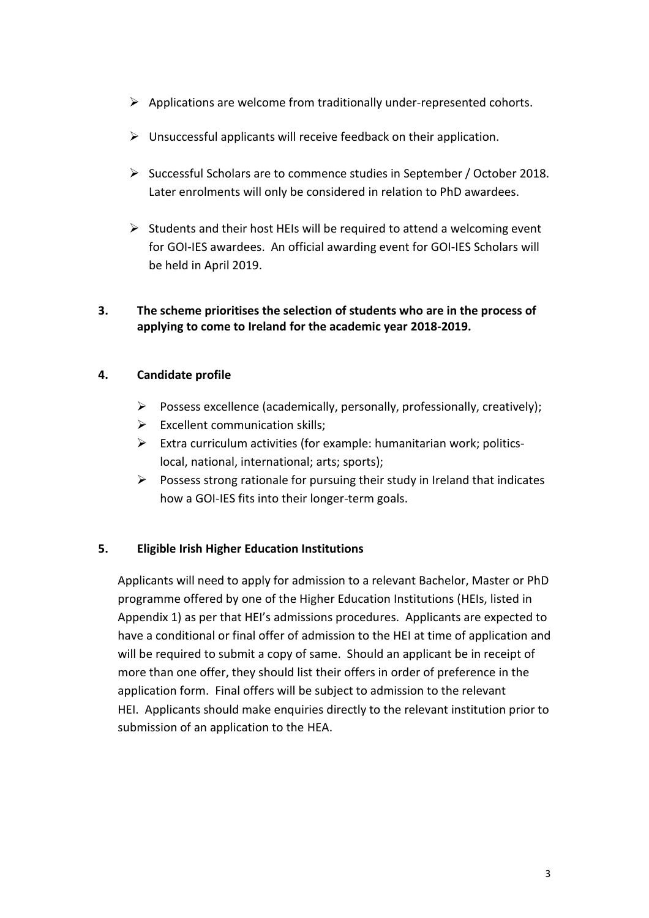- ➢ Applications are welcome from traditionally under-represented cohorts.
- $\triangleright$  Unsuccessful applicants will receive feedback on their application.
- ➢ Successful Scholars are to commence studies in September / October 2018. Later enrolments will only be considered in relation to PhD awardees.
- $\triangleright$  Students and their host HEIs will be required to attend a welcoming event for GOI-IES awardees. An official awarding event for GOI-IES Scholars will be held in April 2019.

## **3. The scheme prioritises the selection of students who are in the process of applying to come to Ireland for the academic year 2018-2019.**

## **4. Candidate profile**

- $\triangleright$  Possess excellence (academically, personally, professionally, creatively);
- $\triangleright$  Excellent communication skills;
- $\triangleright$  Extra curriculum activities (for example: humanitarian work; politicslocal, national, international; arts; sports);
- $\triangleright$  Possess strong rationale for pursuing their study in Ireland that indicates how a GOI-IES fits into their longer-term goals.

## **5. Eligible Irish Higher Education Institutions**

Applicants will need to apply for admission to a relevant Bachelor, Master or PhD programme offered by one of the Higher Education Institutions (HEIs, listed in Appendix 1) as per that HEI's admissions procedures. Applicants are expected to have a conditional or final offer of admission to the HEI at time of application and will be required to submit a copy of same. Should an applicant be in receipt of more than one offer, they should list their offers in order of preference in the application form. Final offers will be subject to admission to the relevant HEI. Applicants should make enquiries directly to the relevant institution prior to submission of an application to the HEA.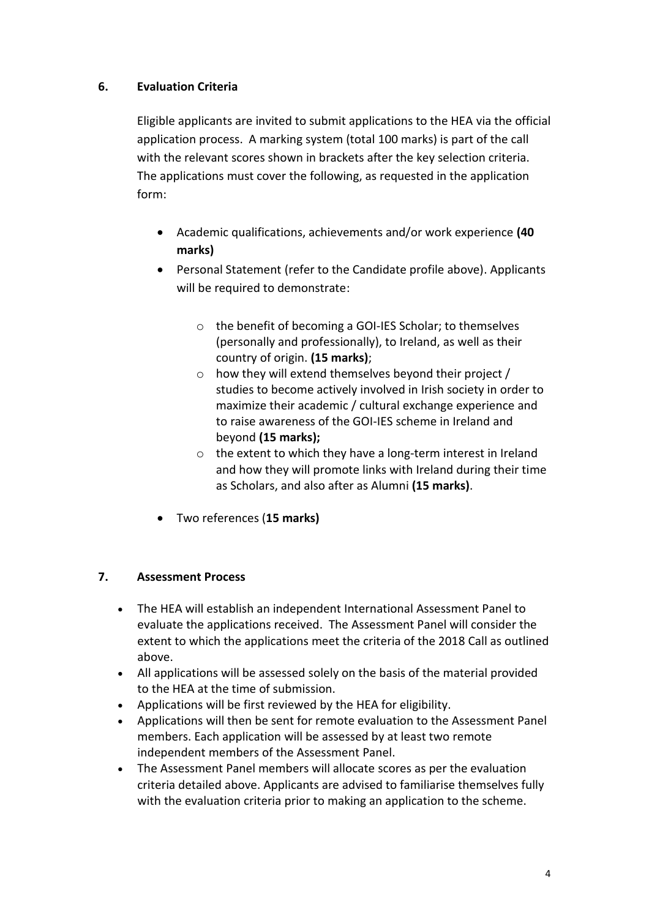### **6. Evaluation Criteria**

Eligible applicants are invited to submit applications to the HEA via the official application process. A marking system (total 100 marks) is part of the call with the relevant scores shown in brackets after the key selection criteria. The applications must cover the following, as requested in the application form:

- Academic qualifications, achievements and/or work experience **(40 marks)**
- Personal Statement (refer to the Candidate profile above). Applicants will be required to demonstrate:
	- o the benefit of becoming a GOI-IES Scholar; to themselves (personally and professionally), to Ireland, as well as their country of origin. **(15 marks)**;
	- o how they will extend themselves beyond their project / studies to become actively involved in Irish society in order to maximize their academic / cultural exchange experience and to raise awareness of the GOI-IES scheme in Ireland and beyond **(15 marks);**
	- o the extent to which they have a long-term interest in Ireland and how they will promote links with Ireland during their time as Scholars, and also after as Alumni **(15 marks)**.
- Two references (**15 marks)**

#### **7. Assessment Process**

- The HEA will establish an independent International Assessment Panel to evaluate the applications received. The Assessment Panel will consider the extent to which the applications meet the criteria of the 2018 Call as outlined above.
- All applications will be assessed solely on the basis of the material provided to the HEA at the time of submission.
- Applications will be first reviewed by the HEA for eligibility.
- Applications will then be sent for remote evaluation to the Assessment Panel members. Each application will be assessed by at least two remote independent members of the Assessment Panel.
- The Assessment Panel members will allocate scores as per the evaluation criteria detailed above. Applicants are advised to familiarise themselves fully with the evaluation criteria prior to making an application to the scheme.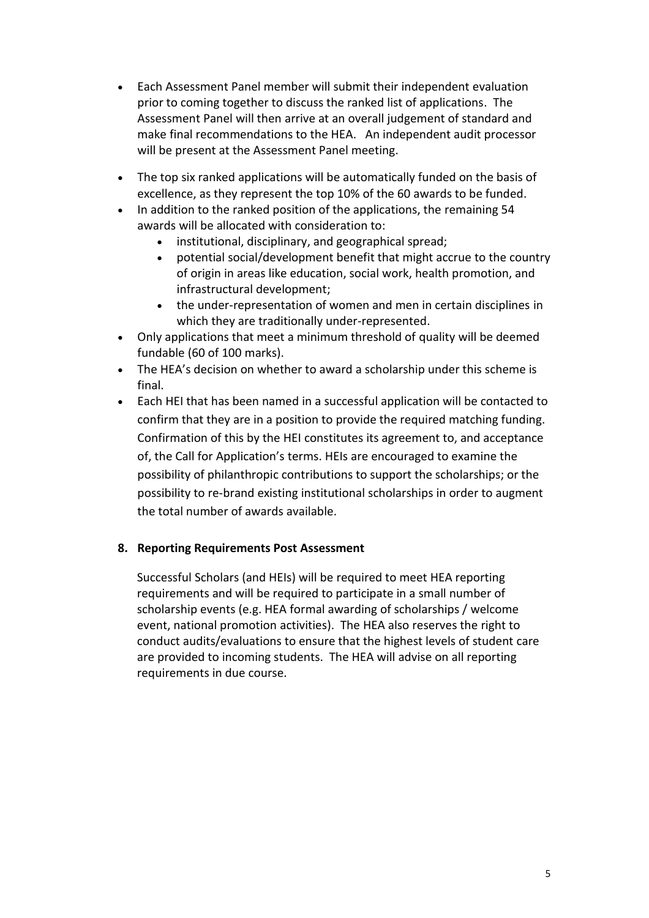- Each Assessment Panel member will submit their independent evaluation prior to coming together to discuss the ranked list of applications. The Assessment Panel will then arrive at an overall judgement of standard and make final recommendations to the HEA. An independent audit processor will be present at the Assessment Panel meeting.
- The top six ranked applications will be automatically funded on the basis of excellence, as they represent the top 10% of the 60 awards to be funded.
- In addition to the ranked position of the applications, the remaining 54 awards will be allocated with consideration to:
	- institutional, disciplinary, and geographical spread;
	- potential social/development benefit that might accrue to the country of origin in areas like education, social work, health promotion, and infrastructural development;
	- the under-representation of women and men in certain disciplines in which they are traditionally under-represented.
- Only applications that meet a minimum threshold of quality will be deemed fundable (60 of 100 marks).
- The HEA's decision on whether to award a scholarship under this scheme is final.
- Each HEI that has been named in a successful application will be contacted to confirm that they are in a position to provide the required matching funding. Confirmation of this by the HEI constitutes its agreement to, and acceptance of, the Call for Application's terms. HEIs are encouraged to examine the possibility of philanthropic contributions to support the scholarships; or the possibility to re-brand existing institutional scholarships in order to augment the total number of awards available.

#### **8. Reporting Requirements Post Assessment**

Successful Scholars (and HEIs) will be required to meet HEA reporting requirements and will be required to participate in a small number of scholarship events (e.g. HEA formal awarding of scholarships / welcome event, national promotion activities). The HEA also reserves the right to conduct audits/evaluations to ensure that the highest levels of student care are provided to incoming students. The HEA will advise on all reporting requirements in due course.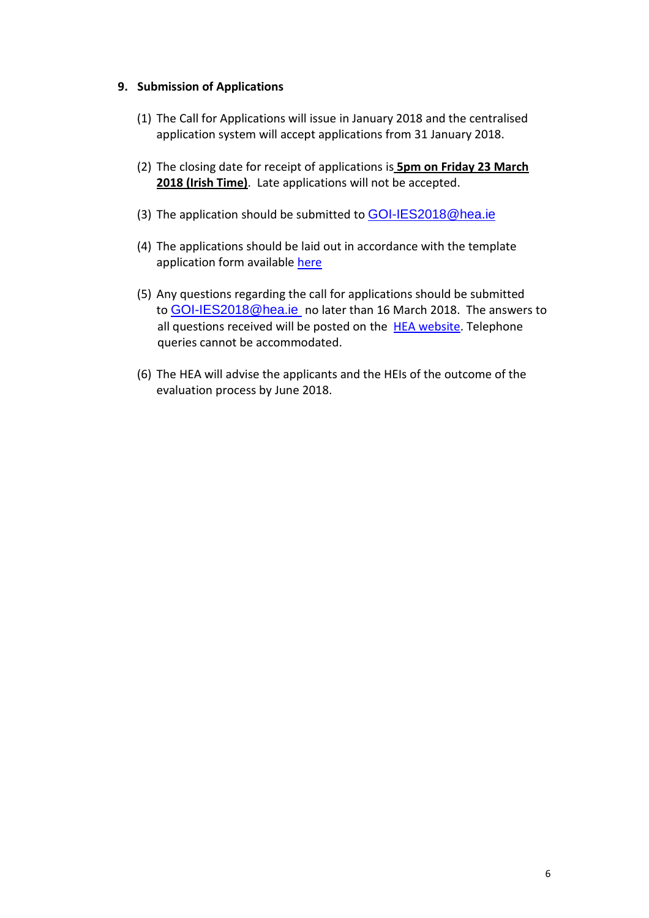#### **9. Submission of Applications**

- (1) The Call for Applications will issue in January 2018 and the centralised application system will accept applications from 31 January 2018.
- (2) The closing date for receipt of applications is **5pm on Friday 23 March 2018 (Irish Time)**. Late applications will not be accepted.
- (3) The application should be submitted to **[GOI-IES2018@hea.ie](mailto:GOI-IES2018@hea.ie)**
- (4) The applications should be laid out in accordance with the template application form available [here](http://hea.ie/policy/internationalisation/international-funding-schemes/)
- (5) Any questions regarding the call for applications should be submitted to [GOI-IES2018@hea.ie](mailto:GOI-IES2018@hea.ie) no later than 16 March 2018. The answers to all questions received will be posted on the **HEA website**. Telephone queries cannot be accommodated.
- (6) The HEA will advise the applicants and the HEIs of the outcome of the evaluation process by June 2018.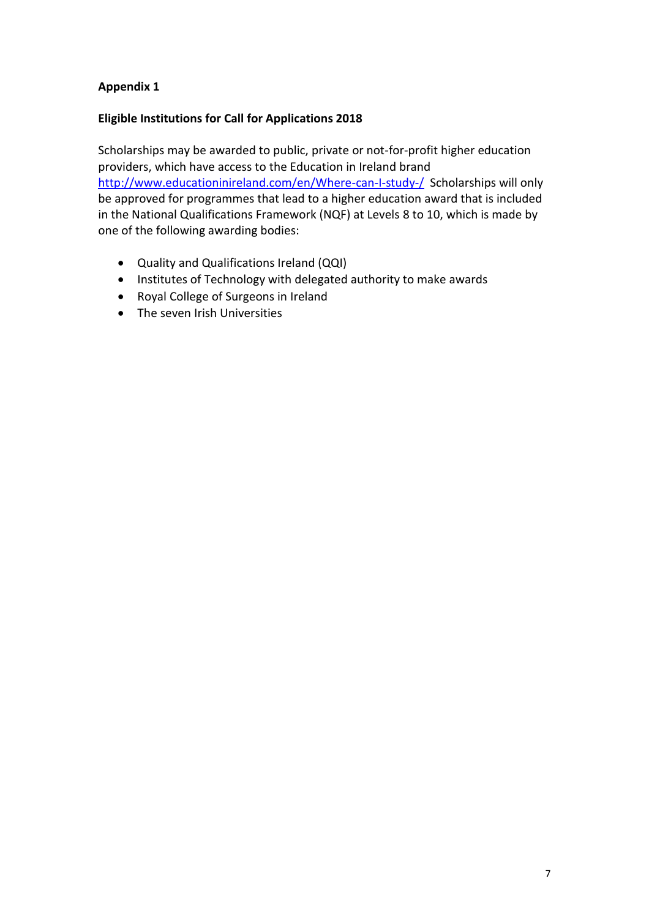## **Appendix 1**

### **Eligible Institutions for Call for Applications 2018**

Scholarships may be awarded to public, private or not-for-profit higher education providers, which have access to the Education in Ireland brand <http://www.educationinireland.com/en/Where-can-I-study-/> Scholarships will only be approved for programmes that lead to a higher education award that is included in the National Qualifications Framework (NQF) at Levels 8 to 10, which is made by one of the following awarding bodies:

- Quality and Qualifications Ireland (QQI)
- Institutes of Technology with delegated authority to make awards
- Royal College of Surgeons in Ireland
- The seven Irish Universities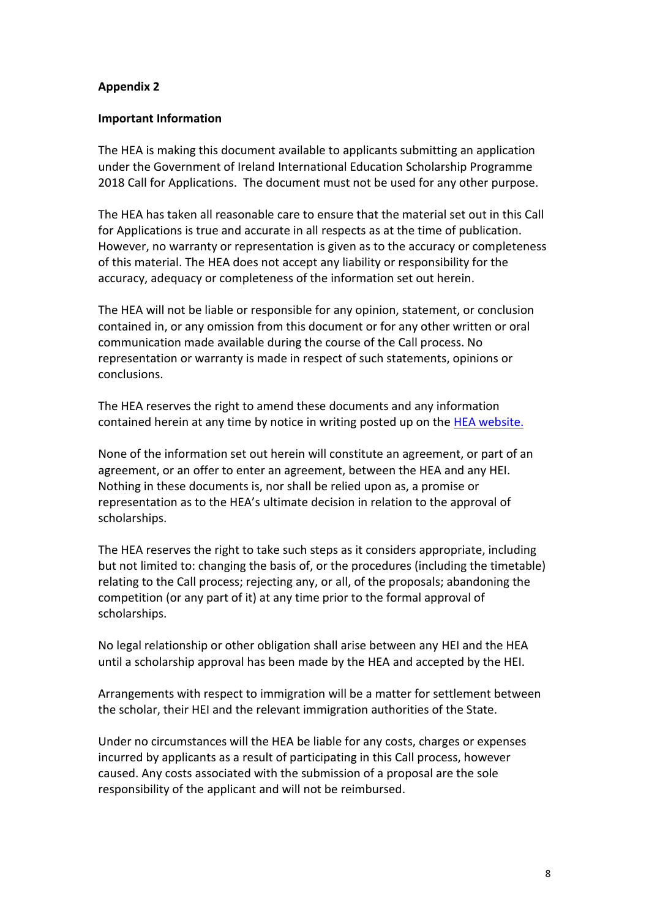#### **Appendix 2**

#### **Important Information**

The HEA is making this document available to applicants submitting an application under the Government of Ireland International Education Scholarship Programme 2018 Call for Applications. The document must not be used for any other purpose.

The HEA has taken all reasonable care to ensure that the material set out in this Call for Applications is true and accurate in all respects as at the time of publication. However, no warranty or representation is given as to the accuracy or completeness of this material. The HEA does not accept any liability or responsibility for the accuracy, adequacy or completeness of the information set out herein.

The HEA will not be liable or responsible for any opinion, statement, or conclusion contained in, or any omission from this document or for any other written or oral communication made available during the course of the Call process. No representation or warranty is made in respect of such statements, opinions or conclusions.

The HEA reserves the right to amend these documents and any information contained herein at any time by notice in writing posted up on the **HEA website.** 

None of the information set out herein will constitute an agreement, or part of an agreement, or an offer to enter an agreement, between the HEA and any HEI. Nothing in these documents is, nor shall be relied upon as, a promise or representation as to the HEA's ultimate decision in relation to the approval of scholarships.

The HEA reserves the right to take such steps as it considers appropriate, including but not limited to: changing the basis of, or the procedures (including the timetable) relating to the Call process; rejecting any, or all, of the proposals; abandoning the competition (or any part of it) at any time prior to the formal approval of scholarships.

No legal relationship or other obligation shall arise between any HEI and the HEA until a scholarship approval has been made by the HEA and accepted by the HEI.

Arrangements with respect to immigration will be a matter for settlement between the scholar, their HEI and the relevant immigration authorities of the State.

Under no circumstances will the HEA be liable for any costs, charges or expenses incurred by applicants as a result of participating in this Call process, however caused. Any costs associated with the submission of a proposal are the sole responsibility of the applicant and will not be reimbursed.